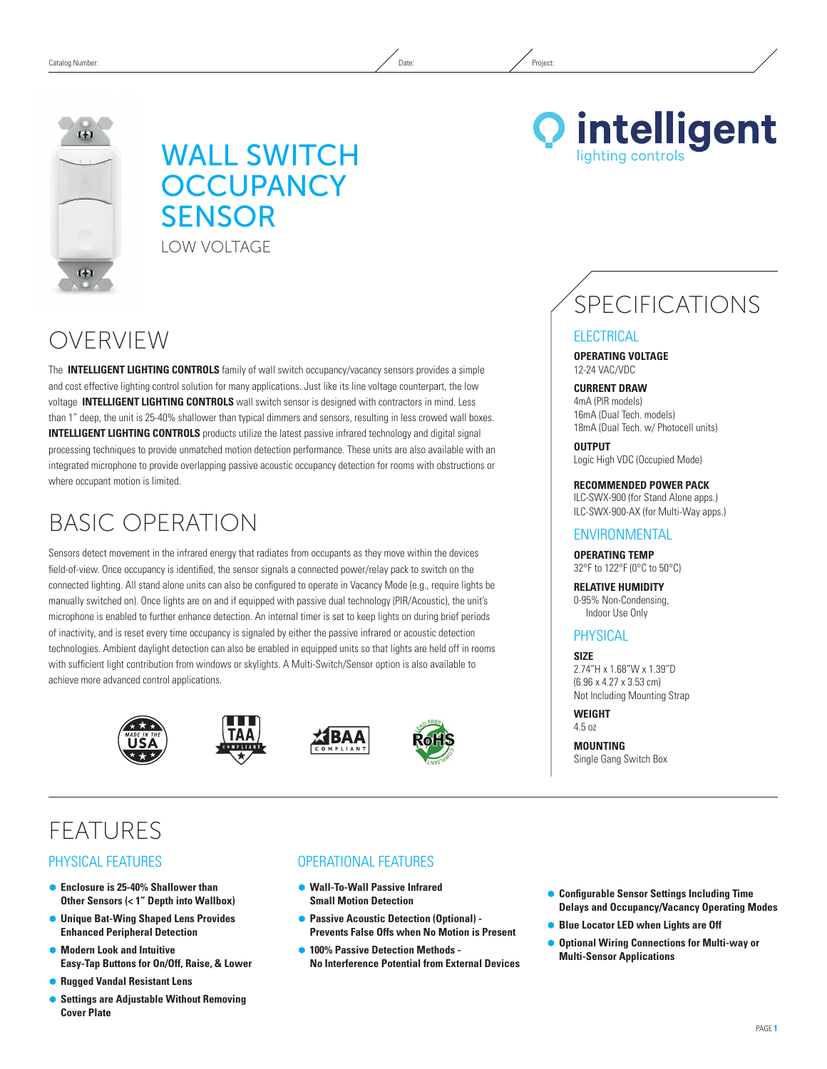# WALL SWITCH **OCCUPANCY SENSOR** LOW VOLTAGE



The **INTELLIGENT LIGHTING CONTROLS** family of wall switch occupancy/vacancy sensors provides a simple and cost effective lighting control solution for many applications. Just like its line voltage counterpart, the low voltage **INTELLIGENT LIGHTING CONTROLS** wall switch sensor is designed with contractors in mind. Less than 1" deep, the unit is 25-40% shallower than typical dimmers and sensors, resulting in less crowed wall boxes. **INTELLIGENT LIGHTING CONTROLS** products utilize the latest passive infrared technology and digital signal processing techniques to provide unmatched motion detection performance. These units are also available with an integrated microphone to provide overlapping passive acoustic occupancy detection for rooms with obstructions or where occupant motion is limited.

# Basic Operation

Sensors detect movement in the infrared energy that radiates from occupants as they move within the devices field-of-view. Once occupancy is identified, the sensor signals a connected power/relay pack to switch on the connected lighting. All stand alone units can also be configured to operate in Vacancy Mode (e.g., require lights be manually switched on). Once lights are on and if equipped with passive dual technology (PIR/Acoustic), the unit's microphone is enabled to further enhance detection. An internal timer is set to keep lights on during brief periods of inactivity, and is reset every time occupancy is signaled by either the passive infrared or acoustic detection technologies. Ambient daylight detection can also be enabled in equipped units so that lights are held off in rooms with sufficient light contribution from windows or skylights. A Multi-Switch/Sensor option is also available to achieve more advanced control applications.









# **FEATURES**

### Physical Features

- Ã **Enclosure is 25-40% Shallower than Other Sensors (< 1" Depth into Wallbox)**
- Ã **Unique Bat-Wing Shaped Lens Provides Enhanced Peripheral Detection**
- $\bullet$  **Modern Look and Intuitive Easy-Tap Buttons for On/Off, Raise, & Lower**
- Ã **Rugged Vandal Resistant Lens**
- **Settings are Adjustable Without Removing Cover Plate**

### Operational Features

- Ã **Wall-To-Wall Passive Infrared Small Motion Detection**
- **Passive Acoustic Detection (Optional) -Prevents False Offs when No Motion is Present**
- Ã **100% Passive Detection Methods No Interference Potential from External Devices**
- Ã **Configurable Sensor Settings Including Time Delays and Occupancy/Vacancy Operating Modes**
- **Blue Locator LED when Lights are Off**
- **Optional Wiring Connections for Multi-way or Multi-Sensor Applications**

# **Q** intelligent ighting controls

SPECIFICATIONS

#### **ELECTRICAL**

**Operating Voltage** 12-24 VAC/VDC

**CURRENT DRAW**

4mA (PIR models) 16mA (Dual Tech. models) 18mA (Dual Tech. w/ Photocell units)

**OUTPUT** Logic High VDC (Occupied Mode)

**RECOMMENDED POWER PACK**

ILC-SWX-900 (for Stand Alone apps.) ILC-SWX-900-AX (for Multi-Way apps.)

#### **ENVIRONMENTAL**

**Operating Temp** 32°F to 122°F (0°C to 50°C)

**Relative Humidity** 0-95% Non-Condensing, Indoor Use Only

# **PHYSICAL**

**Size** 2.74"H x 1.68"W x 1.39"D (6.96 x 4.27 x 3.53 cm) Not Including Mounting Strap

**Weight** 4.5 oz

**Mounting** Single Gang Switch Box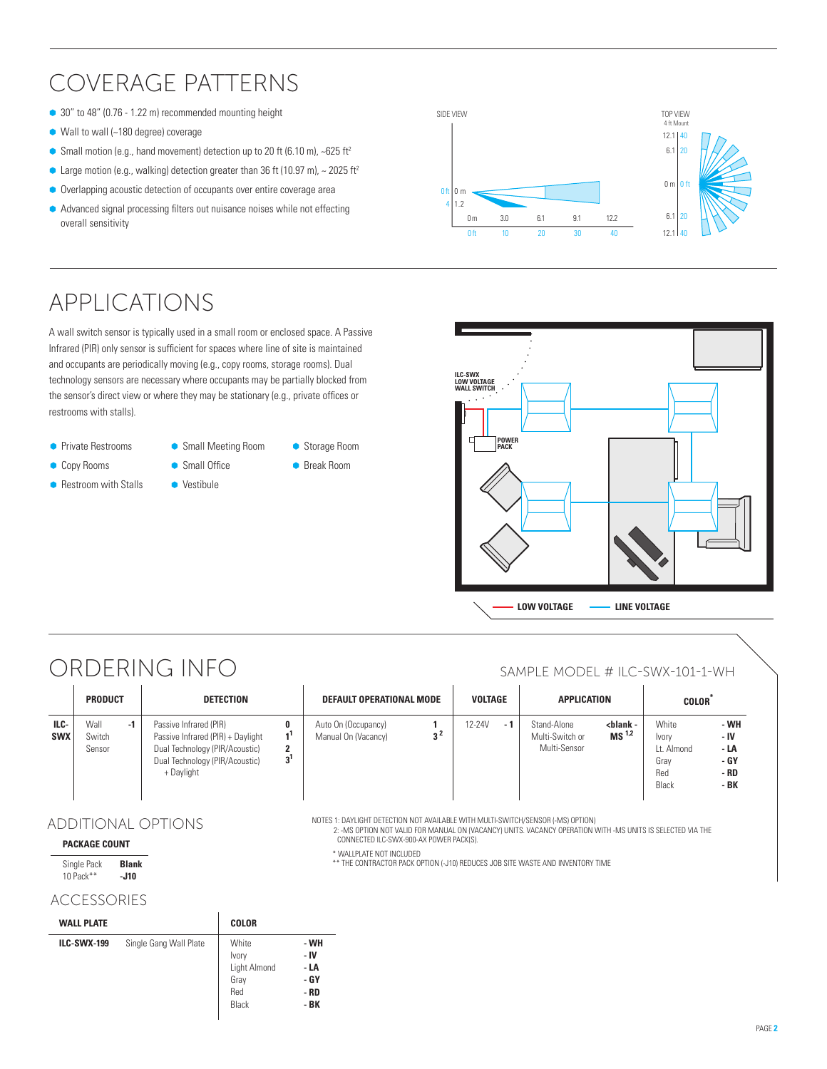# Coverage Patterns

- 30" to 48" (0.76 1.22 m) recommended mounting height
- $\bullet$  Wall to wall (~180 degree) coverage
- Small motion (e.g., hand movement) detection up to 20 ft (6.10 m),  $\sim$  625 ft<sup>2</sup>
- Large motion (e.g., walking) detection greater than 36 ft (10.97 m),  $\sim$  2025 ft<sup>2</sup>
- $\bullet$  Overlapping acoustic detection of occupants over entire coverage area
- $\bullet$  Advanced signal processing filters out nuisance noises while not effecting overall sensitivity



A wall switch sensor is typically used in a small room or enclosed space. A Passive Infrared (PIR) only sensor is sufficient for spaces where line of site is maintained and occupants are periodically moving (e.g., copy rooms, storage rooms). Dual technology sensors are necessary where occupants may be partially blocked from the sensor's direct view or where they may be stationary (e.g., private offices or restrooms with stalls).

- **Private Restrooms**
- **Copy Rooms**
- **Restroom with Stalls**
- Ã Small Meeting Room  $\bullet$  Small Office
- Vestibule

● Storage Room Ã Break Room





# ORDERING INFO SAMPLE MODEL # ILC-SWX-101-1-WH

|                    | <b>PRODUCT</b>           |    | <b>DETECTION</b>                                                                                                                              |                     | DEFAULT OPERATIONAL MODE                   |     | VOLTAGE |     | APPLICATION                                    |                                         | <b>COLOR</b>                                         |                                              |
|--------------------|--------------------------|----|-----------------------------------------------------------------------------------------------------------------------------------------------|---------------------|--------------------------------------------|-----|---------|-----|------------------------------------------------|-----------------------------------------|------------------------------------------------------|----------------------------------------------|
| ILC-<br><b>SWX</b> | Wall<br>Switch<br>Sensor | -1 | Passive Infrared (PIR)<br>Passive Infrared (PIR) + Daylight<br>Dual Technology (PIR/Acoustic)<br>Dual Technology (PIR/Acoustic)<br>+ Daylight | າ<br>3 <sup>1</sup> | Auto On (Occupancy)<br>Manual On (Vacancy) | າ 4 | 12-24V  | - 1 | Stand-Alone<br>Multi-Switch or<br>Multi-Sensor | <blank -<br="">MS<sup>1,2</sup></blank> | White<br>Ivory<br>Lt. Almond<br>Grav<br>Red<br>Black | - WH<br>- IV<br>- LA<br>- GY<br>- RD<br>- BK |

CONNECTED ILC-SWX-900-AX power pack(s).

\* WALLPLATE NOT INCLUDED<br>\*\* THE CONTRACTOR PACK OPTION (-J10) REDUCES JOB SITE WASTE AND INVENTORY TI

2: -MS Option not Valid for MANUAL ON (VACANCY) UNITS. VACANCY OPERATION with -MS units is SELECTED vIA the

Notes 1: DAYLIGHT DETECTION NOT AVAILABLE WITH MULTI-SWITCH/SENSOR (-MS) Option)

## ADDITIONAL OPTIONS

#### **Package Count**

| Single Pack | <b>Blank</b> |
|-------------|--------------|
| 10 Pack **  | -J10         |

### ACCESSORIES

| <b>WALL PLATE</b>  |                        | <b>COLOR</b>                                           |                                              |
|--------------------|------------------------|--------------------------------------------------------|----------------------------------------------|
| <b>ILC-SWX-199</b> | Single Gang Wall Plate | White<br>Ivory<br>Light Almond<br>Gray<br>Red<br>Black | - WH<br>- IV<br>- LA<br>- GY<br>- RD<br>- BK |

| the contract of the contract of the |
|-------------------------------------|
|-------------------------------------|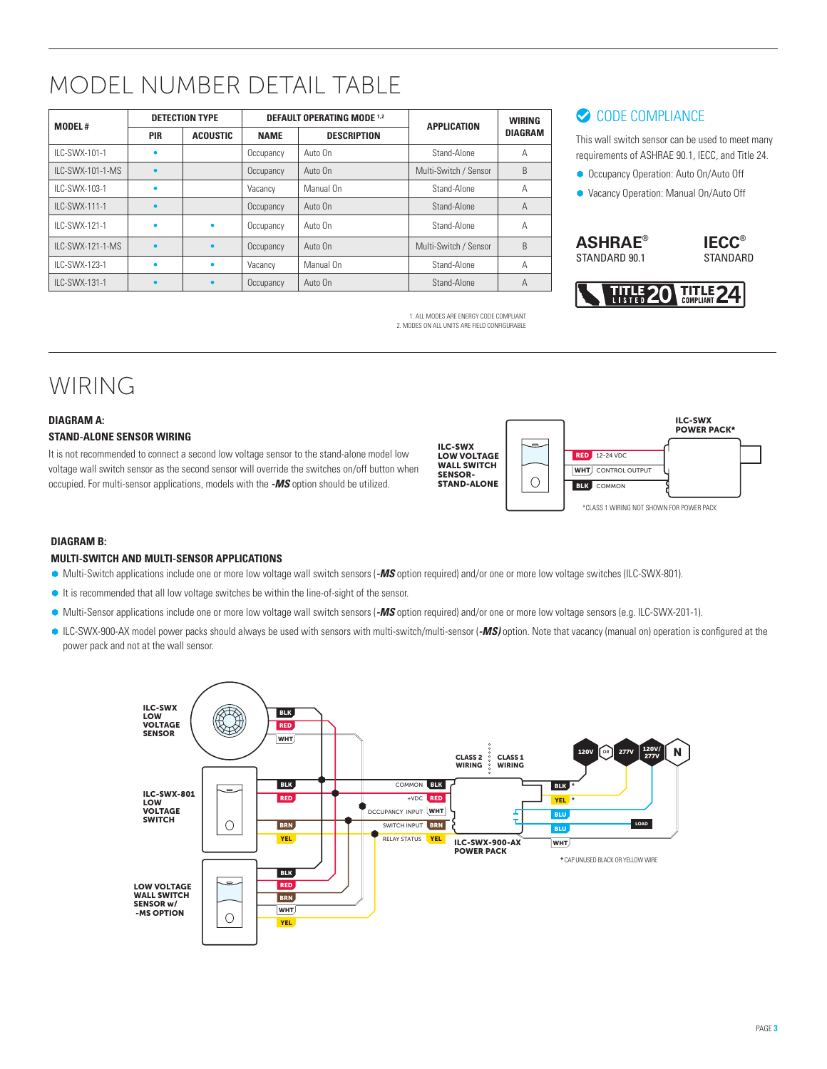# MODEL NUMBER DETAIL TABLE

| <b>MODEL#</b>     |            | <b>DETECTION TYPE</b> |             | <b>DEFAULT OPERATING MODE 1.2</b> | <b>APPLICATION</b>    | <b>WIRING</b><br><b>DIAGRAM</b> |  |
|-------------------|------------|-----------------------|-------------|-----------------------------------|-----------------------|---------------------------------|--|
|                   | <b>PIR</b> | <b>ACOUSTIC</b>       | <b>NAME</b> | <b>DESCRIPTION</b>                |                       |                                 |  |
| II C-SWX-101-1    |            |                       | Occupancy   | Auto On                           | Stand-Alone           | A                               |  |
| II C-SWX-101-1-MS |            |                       | Occupancy   | Auto On                           | Multi-Switch / Sensor | B                               |  |
| II C-SWX-103-1    |            |                       | Vacancy     | Manual On                         | Stand-Alone           | A                               |  |
| II C-SWX-111-1    |            |                       | Occupancy   | Auto On                           | Stand-Alone           | $\overline{A}$                  |  |
| II C-SWX-121-1    |            | ٠                     | Occupancy   | Auto On                           | Stand-Alone           | A                               |  |
| II C-SWX-121-1-MS |            | ٠                     | Occupancy   | Auto On                           | Multi-Switch / Sensor | B                               |  |
| II C-SWX-123-1    |            | ٠                     | Vacancy     | Manual On                         | Stand-Alone           | A                               |  |
| ILC-SWX-131-1     |            | $\bullet$             | Occupancy   | Auto On                           | Stand-Alone           | A                               |  |

1. All modes are energy code compliant 2. Modes on all units are field configurable

# CODE COMPLIANCE

This wall switch sensor can be used to meet many requirements of ASHRAE 90.1, IECC, and Title 24.

- **Occupancy Operation: Auto On/Auto Off**
- Ã Vacancy Operation: Manual On/Auto Off

**ASHRAE®** STANDARD 90.1





# WIRING

#### **DIAGRAM A: Stand-ALone SENSOR Wiring**

It is not recommended to connect a second low voltage sensor to the stand-alone model low voltage wall switch sensor as the second sensor will override the switches on/off button when occupied. For multi-sensor applications, models with the *-MS* option should be utilized.



### **DIAGRAM B:**

#### **MULTI-SWITCH and MULTI-SENSOR APPLICATIONS**

- Ã Multi-Switch applications include one or more low voltage wall switch sensors (*-MS* option required) and/or one or more low voltage switches (ILC-SWX-801).
- It is recommended that all low voltage switches be within the line-of-sight of the sensor.
- Ã Multi-Sensor applications include one or more low voltage wall switch sensors (*-MS* option required) and/or one or more low voltage sensors (e.g. ILC-SWX-201-1).
- ILC-SWX-900-AX model power packs should always be used with sensors with multi-switch/multi-sensor (*-MS)* option. Note that vacancy (manual on) operation is configured at the power pack and not at the wall sensor.